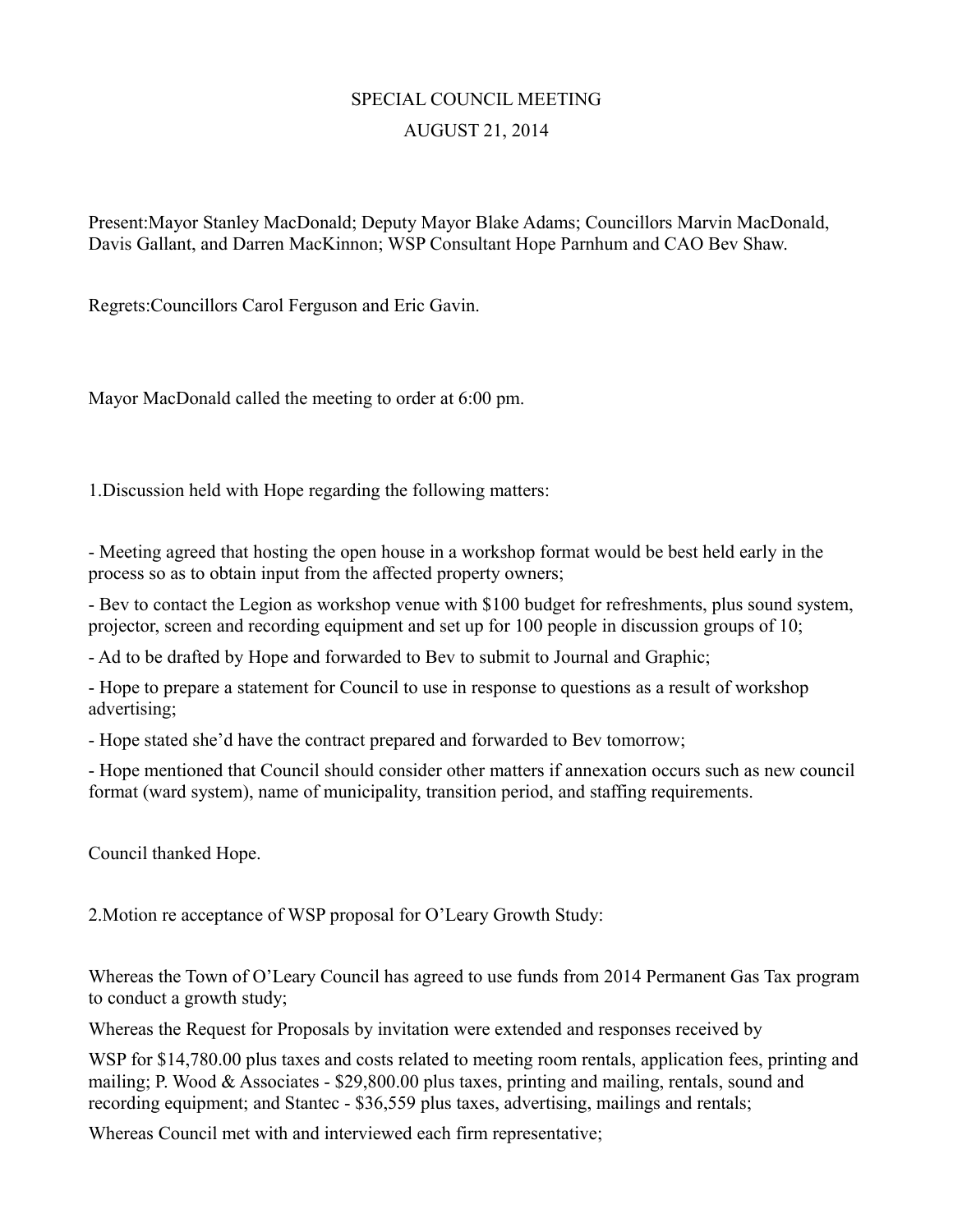## SPECIAL COUNCIL MEETING AUGUST 21, 2014

Present:Mayor Stanley MacDonald; Deputy Mayor Blake Adams; Councillors Marvin MacDonald, Davis Gallant, and Darren MacKinnon; WSP Consultant Hope Parnhum and CAO Bev Shaw.

Regrets:Councillors Carol Ferguson and Eric Gavin.

Mayor MacDonald called the meeting to order at 6:00 pm.

1.Discussion held with Hope regarding the following matters:

- Meeting agreed that hosting the open house in a workshop format would be best held early in the process so as to obtain input from the affected property owners;

- Bev to contact the Legion as workshop venue with \$100 budget for refreshments, plus sound system, projector, screen and recording equipment and set up for 100 people in discussion groups of 10;

- Ad to be drafted by Hope and forwarded to Bev to submit to Journal and Graphic;

- Hope to prepare a statement for Council to use in response to questions as a result of workshop advertising;

- Hope stated she'd have the contract prepared and forwarded to Bev tomorrow;

- Hope mentioned that Council should consider other matters if annexation occurs such as new council format (ward system), name of municipality, transition period, and staffing requirements.

Council thanked Hope.

2.Motion re acceptance of WSP proposal for O'Leary Growth Study:

Whereas the Town of O'Leary Council has agreed to use funds from 2014 Permanent Gas Tax program to conduct a growth study;

Whereas the Request for Proposals by invitation were extended and responses received by

WSP for \$14,780.00 plus taxes and costs related to meeting room rentals, application fees, printing and mailing; P. Wood & Associates - \$29,800.00 plus taxes, printing and mailing, rentals, sound and recording equipment; and Stantec - \$36,559 plus taxes, advertising, mailings and rentals;

Whereas Council met with and interviewed each firm representative;